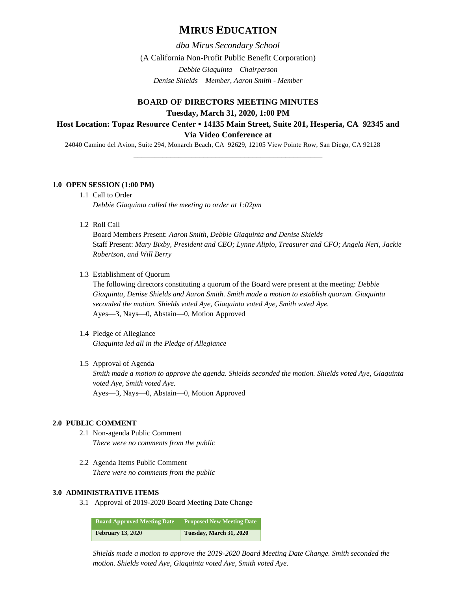# **MIRUS EDUCATION**

*dba Mirus Secondary School* (A California Non-Profit Public Benefit Corporation) *Debbie Giaquinta – Chairperson Denise Shields – Member, Aaron Smith - Member*

# **BOARD OF DIRECTORS MEETING MINUTES Tuesday, March 31, 2020, 1:00 PM Host Location: Topaz Resource Center ▪ 14135 Main Street, Suite 201, Hesperia, CA 92345 and Via Video Conference at**

24040 Camino del Avion, Suite 294, Monarch Beach, CA 92629, 12105 View Pointe Row, San Diego, CA 92128

\_\_\_\_\_\_\_\_\_\_\_\_\_\_\_\_\_\_\_\_\_\_\_\_\_\_\_\_\_\_\_\_\_\_\_\_\_\_\_\_\_\_\_\_\_\_

## **1.0 OPEN SESSION (1:00 PM)**

- 1.1 Call to Order *Debbie Giaquinta called the meeting to order at 1:02pm*
- 1.2 Roll Call

Board Members Present: *Aaron Smith, Debbie Giaquinta and Denise Shields*  Staff Present: *Mary Bixby, President and CEO; Lynne Alipio, Treasurer and CFO; Angela Neri, Jackie Robertson, and Will Berry*

1.3 Establishment of Quorum

The following directors constituting a quorum of the Board were present at the meeting: *Debbie Giaquinta, Denise Shields and Aaron Smith. Smith made a motion to establish quorum. Giaquinta seconded the motion. Shields voted Aye, Giaquinta voted Aye, Smith voted Aye.* Ayes—3, Nays—0, Abstain—0, Motion Approved

1.4 Pledge of Allegiance *Giaquinta led all in the Pledge of Allegiance*

# 1.5 Approval of Agenda

*Smith made a motion to approve the agenda. Shields seconded the motion. Shields voted Aye, Giaquinta voted Aye, Smith voted Aye.* Ayes—3, Nays—0, Abstain—0, Motion Approved

## **2.0 PUBLIC COMMENT**

- 2.1 Non-agenda Public Comment *There were no comments from the public*
- 2.2 Agenda Items Public Comment *There were no comments from the public*

### **3.0 ADMINISTRATIVE ITEMS**

3.1 Approval of 2019-2020 Board Meeting Date Change

| Board Approved Meeting Date | <b>Proposed New Meeting Date</b> |
|-----------------------------|----------------------------------|
| <b>February 13, 2020</b>    | Tuesday, March 31, 2020          |

*Shields made a motion to approve the 2019-2020 Board Meeting Date Change. Smith seconded the motion. Shields voted Aye, Giaquinta voted Aye, Smith voted Aye.*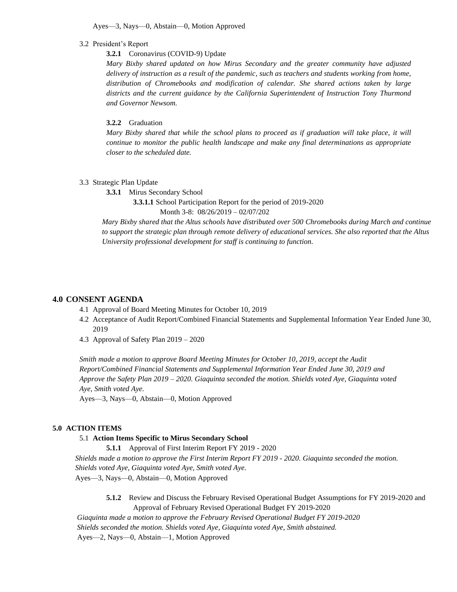Ayes—3, Nays—0, Abstain—0, Motion Approved

#### 3.2 President's Report

## **3.2.1** Coronavirus (COVID-9) Update

*Mary Bixby shared updated on how Mirus Secondary and the greater community have adjusted delivery of instruction as a result of the pandemic, such as teachers and students working from home, distribution of Chromebooks and modification of calendar. She shared actions taken by large districts and the current guidance by the California Superintendent of Instruction Tony Thurmond and Governor Newsom.* 

## **3.2.2** Graduation

*Mary Bixby shared that while the school plans to proceed as if graduation will take place, it will continue to monitor the public health landscape and make any final determinations as appropriate closer to the scheduled date.* 

#### 3.3 Strategic Plan Update

**3.3.1** Mirus Secondary School

**3.3.1.1** School Participation Report for the period of 2019-2020

Month 3-8: 08/26/2019 – 02/07/202

*Mary Bixby shared that the Altus schools have distributed over 500 Chromebooks during March and continue to support the strategic plan through remote delivery of educational services. She also reported that the Altus University professional development for staff is continuing to function.*

## **4.0 CONSENT AGENDA**

- 4.1 Approval of Board Meeting Minutes for October 10, 2019
- 4.2 Acceptance of Audit Report/Combined Financial Statements and Supplemental Information Year Ended June 30, 2019
- 4.3 Approval of Safety Plan 2019 2020

*Smith made a motion to approve Board Meeting Minutes for October 10, 2019, accept the Audit Report/Combined Financial Statements and Supplemental Information Year Ended June 30, 2019 and Approve the Safety Plan 2019 – 2020. Giaquinta seconded the motion. Shields voted Aye, Giaquinta voted Aye, Smith voted Aye.*

Ayes—3, Nays—0, Abstain—0, Motion Approved

#### **5.0 ACTION ITEMS**

#### 5.1 **Action Items Specific to Mirus Secondary School**

**5.1.1** Approval of First Interim Report FY 2019 - 2020

*Shields made a motion to approve the First Interim Report FY 2019 - 2020. Giaquinta seconded the motion. Shields voted Aye, Giaquinta voted Aye, Smith voted Aye.* Ayes—3, Nays—0, Abstain—0, Motion Approved

**5.1.2** Review and Discuss the February Revised Operational Budget Assumptions for FY 2019-2020 and Approval of February Revised Operational Budget FY 2019-2020

*Giaquinta made a motion to approve the February Revised Operational Budget FY 2019-2020 Shields seconded the motion. Shields voted Aye, Giaquinta voted Aye, Smith abstained.* Ayes—2, Nays—0, Abstain—1, Motion Approved